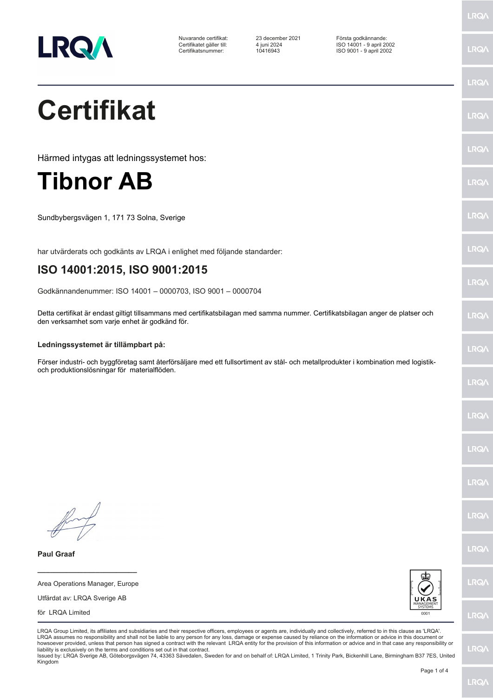

Nuvarande certifikat: 23 december 2021 Första godkännande: Certifikatet gäller till: 4 juni 2024 ISO 14001 - 9 april 2002 Certifikatsnummer: 10416943 ISO 9001 - 9 april 2002

LRQ/

LRQ/

LRQ/

LRQ/

LRQ/

LRQ/

LRQ/

LRQ/

LRQ/

**LRO** 

LRQ/

LRQ/

LRQ/

LRQ/

LRQ/

**IRQA** 

LRQ/

LRQ/

**LRQ/** 

LRQ/

# **Certifikat**

Härmed intygas att ledningssystemet hos:

### **Tibnor AB**

Sundbybergsvägen 1, 171 73 Solna, Sverige

har utvärderats och godkänts av LRQA i enlighet med följande standarder:

### **ISO 14001:2015, ISO 9001:2015**

Godkännandenummer: ISO 14001 – 0000703, ISO 9001 – 0000704

Detta certifikat är endast giltigt tillsammans med certifikatsbilagan med samma nummer. Certifikatsbilagan anger de platser och den verksamhet som varje enhet är godkänd för.

#### **Ledningssystemet är tillämpbart på:**

Förser industri- och byggföretag samt återförsäljare med ett fullsortiment av stål- och metallprodukter i kombination med logistikoch produktionslösningar för materialflöden.

**Paul Graaf**

**\_\_\_\_\_\_\_\_\_\_\_\_\_\_\_\_\_\_\_\_\_\_\_\_** Area Operations Manager, Europe

Utfärdat av: LRQA Sverige AB

för LRQA Limited



LRQA Group Limited, its affiliates and subsidiaries and their respective officers, employees or agents are, individually and collectively, referred to in this clause as 'LRQA'. LRQA assumes no responsibility and shall not be liable to any person for any loss, damage or expense caused by reliance on the information or advice in this document or howsoever provided, unless that person has signed a contract with the relevant LRQA entity for the provision of this information or advice and in that case any responsibility or<br>liability is exclusively on the terms and co

Issued by: LRQA Sverige AB, Göteborgsvägen 74, 43363 Sävedalen, Sweden for and on behalf of: LRQA Limited, 1 Trinity Park, Bickenhill Lane, Birmingham B37 7ES, United Kingdom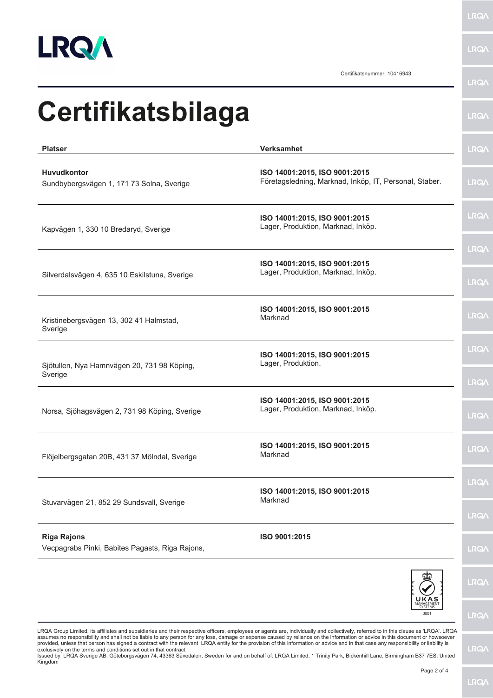

**LRQA** 

Certifikatsnummer: 10416943

LRQ/\

| <b>Certifikatsbilaga</b>                                              |                                                                                         | <b>LRQA</b>                |
|-----------------------------------------------------------------------|-----------------------------------------------------------------------------------------|----------------------------|
| <b>Platser</b>                                                        | Verksamhet                                                                              | <b>LRQA</b>                |
| <b>Huvudkontor</b><br>Sundbybergsvägen 1, 171 73 Solna, Sverige       | ISO 14001:2015, ISO 9001:2015<br>Företagsledning, Marknad, Inköp, IT, Personal, Staber. | <b>LRQA</b>                |
| Kapvägen 1, 330 10 Bredaryd, Sverige                                  | ISO 14001:2015, ISO 9001:2015<br>Lager, Produktion, Marknad, Inköp.                     | <b>LRQ/\</b>               |
| Silverdalsvägen 4, 635 10 Eskilstuna, Sverige                         | ISO 14001:2015, ISO 9001:2015<br>Lager, Produktion, Marknad, Inköp.                     | <b>LRQA</b><br><b>LRQA</b> |
| Kristinebergsvägen 13, 302 41 Halmstad,<br>Sverige                    | ISO 14001:2015, ISO 9001:2015<br>Marknad                                                | <b>LRQA</b>                |
| Sjötullen, Nya Hamnvägen 20, 731 98 Köping,<br>Sverige                | ISO 14001:2015, ISO 9001:2015<br>Lager, Produktion.                                     | <b>LRQA</b><br><b>LRQA</b> |
| Norsa, Sjöhagsvägen 2, 731 98 Köping, Sverige                         | ISO 14001:2015, ISO 9001:2015<br>Lager, Produktion, Marknad, Inköp.                     | <b>LRQA</b>                |
| Flöjelbergsgatan 20B, 431 37 Mölndal, Sverige                         | ISO 14001:2015, ISO 9001:2015<br>Marknad                                                | <b>LRQ/</b>                |
| Stuvarvägen 21, 852 29 Sundsvall, Sverige                             | ISO 14001:2015, ISO 9001:2015<br>Marknad                                                | <b>LRQA</b><br><b>LRQA</b> |
| <b>Riga Rajons</b><br>Vecpagrabs Pinki, Babites Pagasts, Riga Rajons, | ISO 9001:2015                                                                           | <b>LRQA</b>                |
|                                                                       | UKAS<br>SYSTEMS                                                                         | <b>LRQA</b>                |

LRQA Group Limited, its affiliates and subsidiaries and their respective officers, employees or agents are, individually and collectively, referred to in this clause as 'LRQA'. LRQA assumes no responsibility and shall not be liable to any person for any loss, damage or expense caused by reliance on the information or advice in this document or howsoever<br>provided, unless that person has signed a contra

 $0001$ 

**LRQA** 

**LRQA**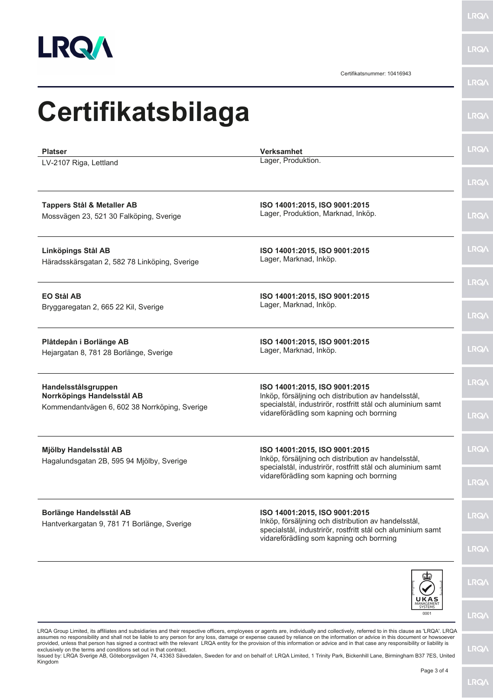

**LRQA** 

**LRQA** 

Certifikatsnummer: 10416943

|                                                                                                                                                                                                                                                                |                                                                                                                                                                                                 | LRQ/                       |
|----------------------------------------------------------------------------------------------------------------------------------------------------------------------------------------------------------------------------------------------------------------|-------------------------------------------------------------------------------------------------------------------------------------------------------------------------------------------------|----------------------------|
| Certifikatsbilaga                                                                                                                                                                                                                                              |                                                                                                                                                                                                 | <b>LRQA</b>                |
| <b>Platser</b><br>LV-2107 Riga, Lettland                                                                                                                                                                                                                       | <b>Verksamhet</b><br>Lager, Produktion.                                                                                                                                                         | <b>LRQA</b>                |
| <b>Tappers Stål &amp; Metaller AB</b><br>Mossvägen 23, 521 30 Falköping, Sverige                                                                                                                                                                               | ISO 14001:2015, ISO 9001:2015<br>Lager, Produktion, Marknad, Inköp.                                                                                                                             | <b>LRQ/</b><br><b>LRQA</b> |
| Linköpings Stål AB<br>Häradsskärsgatan 2, 582 78 Linköping, Sverige                                                                                                                                                                                            | ISO 14001:2015, ISO 9001:2015<br>Lager, Marknad, Inköp.                                                                                                                                         | <b>LRQ/</b>                |
| <b>EO Stål AB</b><br>Bryggaregatan 2, 665 22 Kil, Sverige                                                                                                                                                                                                      | ISO 14001:2015, ISO 9001:2015<br>Lager, Marknad, Inköp.                                                                                                                                         | <b>LRQ/</b><br><b>LRQA</b> |
| Plåtdepån i Borlänge AB<br>Hejargatan 8, 781 28 Borlänge, Sverige                                                                                                                                                                                              | ISO 14001:2015, ISO 9001:2015<br>Lager, Marknad, Inköp.                                                                                                                                         | <b>LRQ/</b>                |
| Handelsstålsgruppen<br>Norrköpings Handelsstål AB<br>Kommendantvägen 6, 602 38 Norrköping, Sverige                                                                                                                                                             | ISO 14001:2015, ISO 9001:2015<br>Inköp, försäljning och distribution av handelsstål,<br>specialstål, industrirör, rostfritt stål och aluminium samt<br>vidareförädling som kapning och borrning | <b>LRQA</b><br><b>LRQ/</b> |
| Mjölby Handelsstål AB<br>Hagalundsgatan 2B, 595 94 Mjölby, Sverige                                                                                                                                                                                             | ISO 14001:2015, ISO 9001:2015<br>Inköp, försäljning och distribution av handelsstål,<br>specialstål, industrirör, rostfritt stål och aluminium samt<br>vidareförädling som kapning och borrning | LRQ/                       |
|                                                                                                                                                                                                                                                                |                                                                                                                                                                                                 | <b>LRQ/</b>                |
| <b>Borlänge Handelsstål AB</b><br>Hantverkargatan 9, 781 71 Borlänge, Sverige<br>ROA Croup Limited its affiliates and subsidiaries and their respective officers employees or agents are individually and collectively referred to in this clause as IROA' LRO | ISO 14001:2015, ISO 9001:2015<br>Inköp, försäljning och distribution av handelsstål,<br>specialstål, industrirör, rostfritt stål och aluminium samt<br>vidareförädling som kapning och borrning | LRQ/<br><b>LRQA</b>        |
|                                                                                                                                                                                                                                                                |                                                                                                                                                                                                 | LRQ/                       |
|                                                                                                                                                                                                                                                                | 0001                                                                                                                                                                                            | LRQ/                       |

LRQA Group Limited, its affiliates and subsidiaries and their respective officers, employees or agents are, individually and collectively, referred to in this clause as 'LRQA'. LRQA<br>assumes no responsibility and shall not

**LRQA**